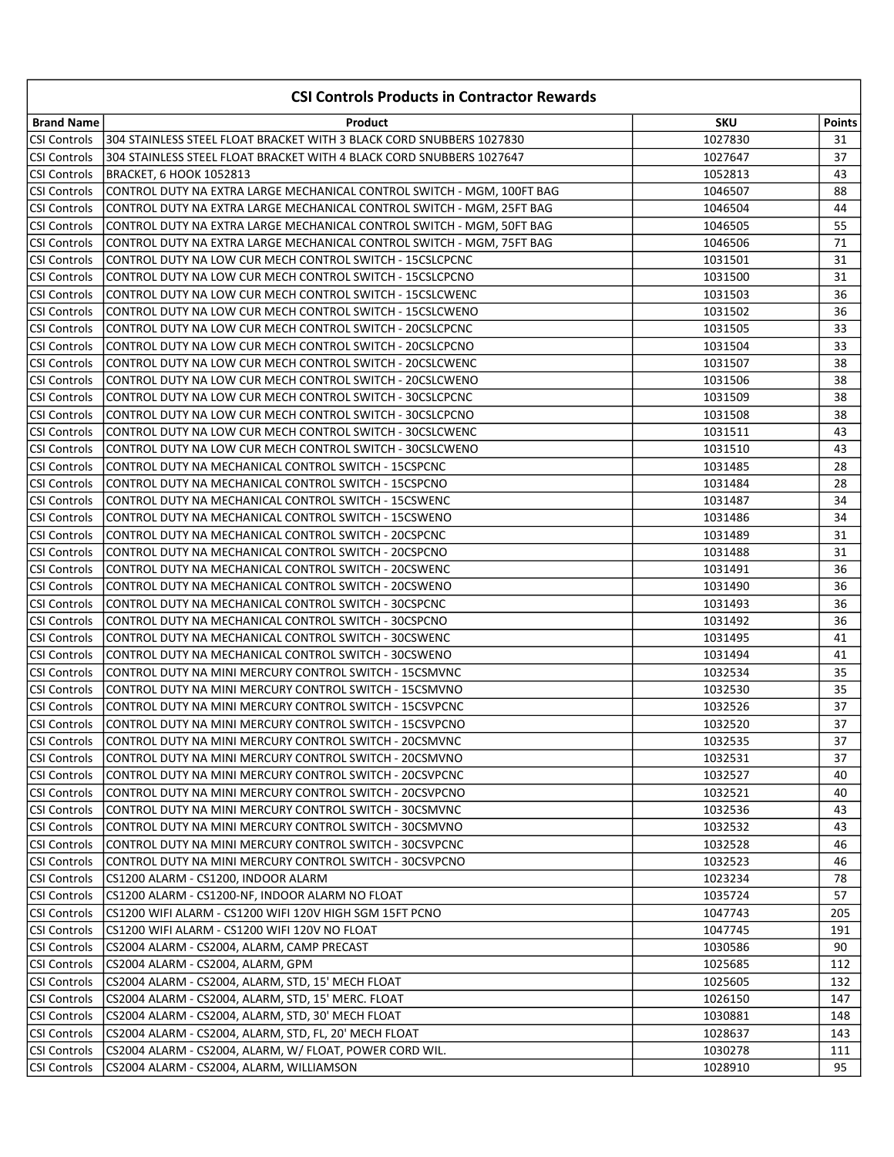|                     | <b>CSI Controls Products in Contractor Rewards</b>                     |            |               |
|---------------------|------------------------------------------------------------------------|------------|---------------|
| <b>Brand Name</b>   | Product                                                                | <b>SKU</b> | <b>Points</b> |
| <b>CSI Controls</b> | 304 STAINLESS STEEL FLOAT BRACKET WITH 3 BLACK CORD SNUBBERS 1027830   | 1027830    | 31            |
| <b>CSI Controls</b> | 304 STAINLESS STEEL FLOAT BRACKET WITH 4 BLACK CORD SNUBBERS 1027647   | 1027647    | 37            |
| <b>CSI Controls</b> | BRACKET, 6 HOOK 1052813                                                | 1052813    | 43            |
| <b>CSI Controls</b> | CONTROL DUTY NA EXTRA LARGE MECHANICAL CONTROL SWITCH - MGM, 100FT BAG | 1046507    | 88            |
| CSI Controls        | CONTROL DUTY NA EXTRA LARGE MECHANICAL CONTROL SWITCH - MGM, 25FT BAG  | 1046504    | 44            |
| <b>CSI Controls</b> | CONTROL DUTY NA EXTRA LARGE MECHANICAL CONTROL SWITCH - MGM, 50FT BAG  | 1046505    | 55            |
| <b>CSI Controls</b> | CONTROL DUTY NA EXTRA LARGE MECHANICAL CONTROL SWITCH - MGM, 75FT BAG  | 1046506    | 71            |
| <b>CSI Controls</b> | CONTROL DUTY NA LOW CUR MECH CONTROL SWITCH - 15CSLCPCNC               | 1031501    | 31            |
| <b>CSI Controls</b> | CONTROL DUTY NA LOW CUR MECH CONTROL SWITCH - 15CSLCPCNO               | 1031500    | 31            |
| <b>CSI Controls</b> | CONTROL DUTY NA LOW CUR MECH CONTROL SWITCH - 15CSLCWENC               | 1031503    | 36            |
| <b>CSI Controls</b> | CONTROL DUTY NA LOW CUR MECH CONTROL SWITCH - 15CSLCWENO               | 1031502    | 36            |
| <b>CSI Controls</b> | CONTROL DUTY NA LOW CUR MECH CONTROL SWITCH - 20CSLCPCNC               | 1031505    | 33            |
| <b>CSI Controls</b> | CONTROL DUTY NA LOW CUR MECH CONTROL SWITCH - 20CSLCPCNO               | 1031504    | 33            |
| <b>CSI Controls</b> | CONTROL DUTY NA LOW CUR MECH CONTROL SWITCH - 20CSLCWENC               | 1031507    | 38            |
| <b>CSI Controls</b> | CONTROL DUTY NA LOW CUR MECH CONTROL SWITCH - 20CSLCWENO               | 1031506    | 38            |
| <b>CSI Controls</b> | CONTROL DUTY NA LOW CUR MECH CONTROL SWITCH - 30CSLCPCNC               | 1031509    | 38            |
| <b>CSI Controls</b> | CONTROL DUTY NA LOW CUR MECH CONTROL SWITCH - 30CSLCPCNO               | 1031508    | 38            |
| <b>CSI Controls</b> | CONTROL DUTY NA LOW CUR MECH CONTROL SWITCH - 30CSLCWENC               | 1031511    | 43            |
| <b>CSI Controls</b> | CONTROL DUTY NA LOW CUR MECH CONTROL SWITCH - 30CSLCWENO               | 1031510    | 43            |
| <b>CSI Controls</b> | CONTROL DUTY NA MECHANICAL CONTROL SWITCH - 15CSPCNC                   | 1031485    | 28            |
| <b>CSI Controls</b> | CONTROL DUTY NA MECHANICAL CONTROL SWITCH - 15CSPCNO                   | 1031484    | 28            |
| <b>CSI Controls</b> | CONTROL DUTY NA MECHANICAL CONTROL SWITCH - 15CSWENC                   | 1031487    | 34            |
| <b>CSI Controls</b> | CONTROL DUTY NA MECHANICAL CONTROL SWITCH - 15CSWENO                   | 1031486    | 34            |
| <b>CSI Controls</b> | CONTROL DUTY NA MECHANICAL CONTROL SWITCH - 20CSPCNC                   | 1031489    | 31            |
| <b>CSI Controls</b> | CONTROL DUTY NA MECHANICAL CONTROL SWITCH - 20CSPCNO                   | 1031488    | 31            |
| <b>CSI Controls</b> | CONTROL DUTY NA MECHANICAL CONTROL SWITCH - 20CSWENC                   | 1031491    | 36            |
| <b>CSI Controls</b> | CONTROL DUTY NA MECHANICAL CONTROL SWITCH - 20CSWENO                   | 1031490    | 36            |
| <b>CSI Controls</b> | CONTROL DUTY NA MECHANICAL CONTROL SWITCH - 30CSPCNC                   | 1031493    | 36            |
| <b>CSI Controls</b> | CONTROL DUTY NA MECHANICAL CONTROL SWITCH - 30CSPCNO                   | 1031492    | 36            |
| CSI Controls        | CONTROL DUTY NA MECHANICAL CONTROL SWITCH - 30CSWENC                   | 1031495    | 41            |
| <b>CSI Controls</b> | CONTROL DUTY NA MECHANICAL CONTROL SWITCH - 30CSWENO                   | 1031494    | 41            |
| <b>CSI Controls</b> | CONTROL DUTY NA MINI MERCURY CONTROL SWITCH - 15CSMVNC                 | 1032534    | 35            |
| <b>CSI Controls</b> | CONTROL DUTY NA MINI MERCURY CONTROL SWITCH - 15CSMVNO                 | 1032530    | 35            |
| <b>CSI Controls</b> | CONTROL DUTY NA MINI MERCURY CONTROL SWITCH - 15CSVPCNC                | 1032526    | 37            |
| <b>CSI Controls</b> | CONTROL DUTY NA MINI MERCURY CONTROL SWITCH - 15CSVPCNO                | 1032520    | 37            |
| CSI Controls        | CONTROL DUTY NA MINI MERCURY CONTROL SWITCH - 20CSMVNC                 | 1032535    | 37            |
| <b>CSI Controls</b> | CONTROL DUTY NA MINI MERCURY CONTROL SWITCH - 20CSMVNO                 | 1032531    | 37            |
| <b>CSI Controls</b> | CONTROL DUTY NA MINI MERCURY CONTROL SWITCH - 20CSVPCNC                | 1032527    | 40            |
| <b>CSI Controls</b> | CONTROL DUTY NA MINI MERCURY CONTROL SWITCH - 20CSVPCNO                | 1032521    | 40            |
| <b>CSI Controls</b> | CONTROL DUTY NA MINI MERCURY CONTROL SWITCH - 30CSMVNC                 | 1032536    | 43            |
| <b>CSI Controls</b> | CONTROL DUTY NA MINI MERCURY CONTROL SWITCH - 30CSMVNO                 | 1032532    | 43            |
| <b>CSI Controls</b> | CONTROL DUTY NA MINI MERCURY CONTROL SWITCH - 30CSVPCNC                | 1032528    | 46            |
| <b>CSI Controls</b> | CONTROL DUTY NA MINI MERCURY CONTROL SWITCH - 30CSVPCNO                | 1032523    | 46            |
| CSI Controls        | CS1200 ALARM - CS1200, INDOOR ALARM                                    | 1023234    | 78            |
| <b>CSI Controls</b> | CS1200 ALARM - CS1200-NF, INDOOR ALARM NO FLOAT                        | 1035724    | 57            |
| <b>CSI Controls</b> | CS1200 WIFI ALARM - CS1200 WIFI 120V HIGH SGM 15FT PCNO                | 1047743    | 205           |
| <b>CSI Controls</b> | CS1200 WIFI ALARM - CS1200 WIFI 120V NO FLOAT                          | 1047745    | 191           |
| <b>CSI Controls</b> | CS2004 ALARM - CS2004, ALARM, CAMP PRECAST                             | 1030586    | 90            |
| <b>CSI Controls</b> | CS2004 ALARM - CS2004, ALARM, GPM                                      | 1025685    | 112           |
| CSI Controls        | CS2004 ALARM - CS2004, ALARM, STD, 15' MECH FLOAT                      | 1025605    | 132           |
| CSI Controls        | CS2004 ALARM - CS2004, ALARM, STD, 15' MERC. FLOAT                     | 1026150    | 147           |
| CSI Controls        | CS2004 ALARM - CS2004, ALARM, STD, 30' MECH FLOAT                      | 1030881    | 148           |
| CSI Controls        | CS2004 ALARM - CS2004, ALARM, STD, FL, 20' MECH FLOAT                  | 1028637    | 143           |
| CSI Controls        | CS2004 ALARM - CS2004, ALARM, W/ FLOAT, POWER CORD WIL.                | 1030278    | 111           |
| CSI Controls        | CS2004 ALARM - CS2004, ALARM, WILLIAMSON                               | 1028910    | 95            |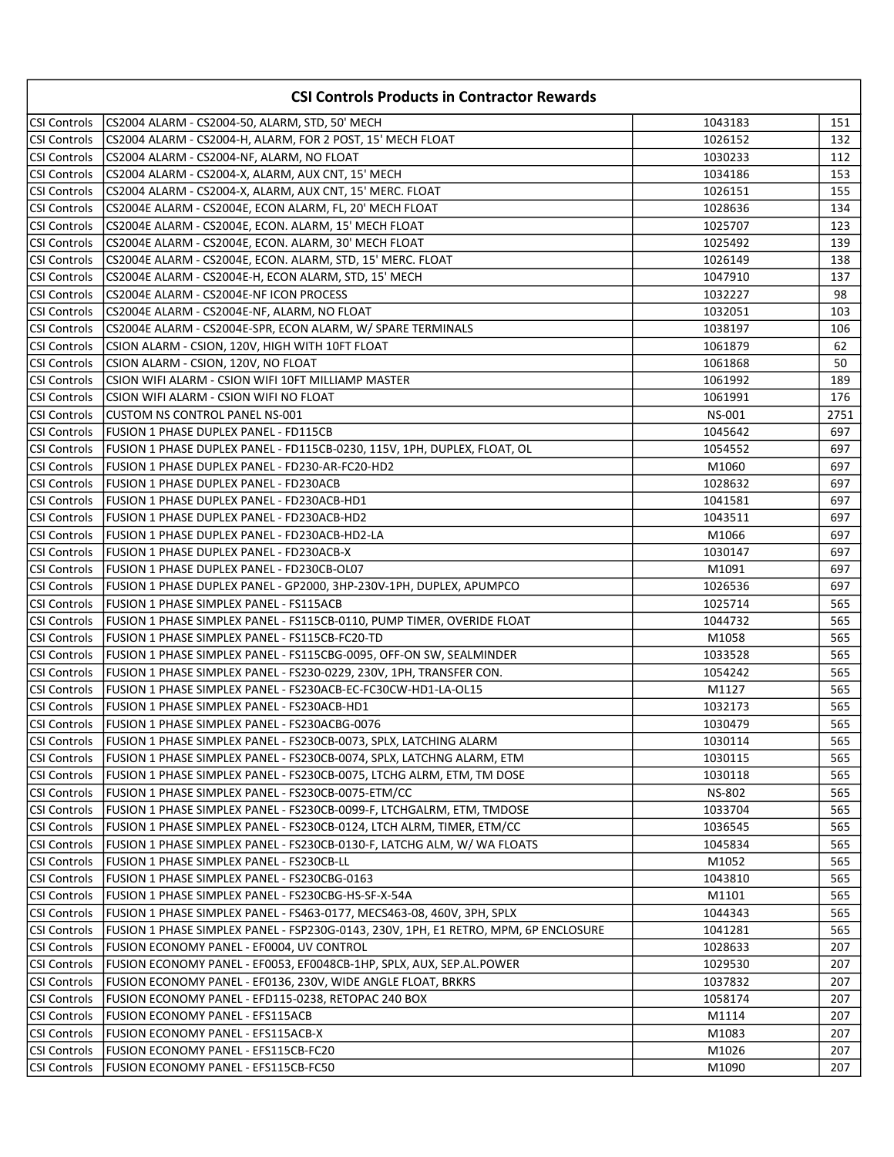| <b>CSI Controls Products in Contractor Rewards</b> |                                                                                     |               |      |
|----------------------------------------------------|-------------------------------------------------------------------------------------|---------------|------|
| <b>CSI Controls</b>                                | CS2004 ALARM - CS2004-50, ALARM, STD, 50' MECH                                      | 1043183       | 151  |
| <b>CSI Controls</b>                                | CS2004 ALARM - CS2004-H, ALARM, FOR 2 POST, 15' MECH FLOAT                          | 1026152       | 132  |
| CSI Controls                                       | CS2004 ALARM - CS2004-NF, ALARM, NO FLOAT                                           | 1030233       | 112  |
| <b>CSI Controls</b>                                | CS2004 ALARM - CS2004-X, ALARM, AUX CNT, 15' MECH                                   | 1034186       | 153  |
| CSI Controls                                       | CS2004 ALARM - CS2004-X, ALARM, AUX CNT, 15' MERC. FLOAT                            | 1026151       | 155  |
| <b>CSI Controls</b>                                | CS2004E ALARM - CS2004E, ECON ALARM, FL, 20' MECH FLOAT                             | 1028636       | 134  |
| <b>CSI Controls</b>                                | CS2004E ALARM - CS2004E, ECON. ALARM, 15' MECH FLOAT                                | 1025707       | 123  |
| <b>CSI Controls</b>                                | CS2004E ALARM - CS2004E, ECON. ALARM, 30' MECH FLOAT                                | 1025492       | 139  |
| <b>CSI Controls</b>                                | CS2004E ALARM - CS2004E, ECON. ALARM, STD, 15' MERC. FLOAT                          | 1026149       | 138  |
| <b>CSI Controls</b>                                | CS2004E ALARM - CS2004E-H, ECON ALARM, STD, 15' MECH                                | 1047910       | 137  |
| CSI Controls                                       | CS2004E ALARM - CS2004E-NF ICON PROCESS                                             | 1032227       | 98   |
| <b>CSI Controls</b>                                | CS2004E ALARM - CS2004E-NF, ALARM, NO FLOAT                                         | 1032051       | 103  |
| <b>CSI Controls</b>                                | CS2004E ALARM - CS2004E-SPR, ECON ALARM, W/ SPARE TERMINALS                         | 1038197       | 106  |
| <b>CSI Controls</b>                                | CSION ALARM - CSION, 120V, HIGH WITH 10FT FLOAT                                     | 1061879       | 62   |
| <b>CSI Controls</b>                                | CSION ALARM - CSION, 120V, NO FLOAT                                                 | 1061868       | 50   |
| <b>CSI Controls</b>                                | CSION WIFI ALARM - CSION WIFI 10FT MILLIAMP MASTER                                  | 1061992       | 189  |
| CSI Controls                                       | CSION WIFI ALARM - CSION WIFI NO FLOAT                                              | 1061991       | 176  |
| <b>CSI Controls</b>                                | CUSTOM NS CONTROL PANEL NS-001                                                      | <b>NS-001</b> | 2751 |
| <b>CSI Controls</b>                                | FUSION 1 PHASE DUPLEX PANEL - FD115CB                                               | 1045642       | 697  |
| <b>CSI Controls</b>                                | FUSION 1 PHASE DUPLEX PANEL - FD115CB-0230, 115V, 1PH, DUPLEX, FLOAT, OL            | 1054552       | 697  |
| <b>CSI Controls</b>                                | FUSION 1 PHASE DUPLEX PANEL - FD230-AR-FC20-HD2                                     | M1060         | 697  |
| CSI Controls                                       | FUSION 1 PHASE DUPLEX PANEL - FD230ACB                                              | 1028632       | 697  |
| <b>CSI Controls</b>                                | FUSION 1 PHASE DUPLEX PANEL - FD230ACB-HD1                                          | 1041581       | 697  |
| <b>CSI Controls</b>                                | FUSION 1 PHASE DUPLEX PANEL - FD230ACB-HD2                                          | 1043511       | 697  |
| <b>CSI Controls</b>                                | FUSION 1 PHASE DUPLEX PANEL - FD230ACB-HD2-LA                                       | M1066         | 697  |
| <b>CSI Controls</b>                                | <b>FUSION 1 PHASE DUPLEX PANEL - FD230ACB-X</b>                                     | 1030147       | 697  |
| <b>CSI Controls</b>                                | FUSION 1 PHASE DUPLEX PANEL - FD230CB-OL07                                          | M1091         | 697  |
| CSI Controls                                       | FUSION 1 PHASE DUPLEX PANEL - GP2000, 3HP-230V-1PH, DUPLEX, APUMPCO                 | 1026536       | 697  |
| <b>CSI Controls</b>                                | FUSION 1 PHASE SIMPLEX PANEL - FS115ACB                                             | 1025714       | 565  |
| CSI Controls                                       | FUSION 1 PHASE SIMPLEX PANEL - FS115CB-0110, PUMP TIMER, OVERIDE FLOAT              | 1044732       | 565  |
| <b>CSI Controls</b>                                | FUSION 1 PHASE SIMPLEX PANEL - FS115CB-FC20-TD                                      | M1058         | 565  |
| <b>CSI Controls</b>                                | FUSION 1 PHASE SIMPLEX PANEL - FS115CBG-0095, OFF-ON SW, SEALMINDER                 | 1033528       | 565  |
| <b>CSI Controls</b>                                | FUSION 1 PHASE SIMPLEX PANEL - FS230-0229, 230V, 1PH, TRANSFER CON.                 | 1054242       | 565  |
| <b>CSI Controls</b>                                | FUSION 1 PHASE SIMPLEX PANEL - FS230ACB-EC-FC30CW-HD1-LA-OL15                       | M1127         | 565  |
| <b>CSI Controls</b>                                | <b>FUSION 1 PHASE SIMPLEX PANEL - FS230ACB-HD1</b>                                  | 1032173       | 565  |
| CSI Controls                                       | FUSION 1 PHASE SIMPLEX PANEL - FS230ACBG-0076                                       | 1030479       | 565  |
| <b>CSI Controls</b>                                | FUSION 1 PHASE SIMPLEX PANEL - FS230CB-0073, SPLX, LATCHING ALARM                   | 1030114       | 565  |
| <b>CSI Controls</b>                                | FUSION 1 PHASE SIMPLEX PANEL - FS230CB-0074, SPLX, LATCHNG ALARM, ETM               | 1030115       | 565  |
| <b>CSI Controls</b>                                | FUSION 1 PHASE SIMPLEX PANEL - FS230CB-0075, LTCHG ALRM, ETM, TM DOSE               | 1030118       | 565  |
| CSI Controls                                       | FUSION 1 PHASE SIMPLEX PANEL - FS230CB-0075-ETM/CC                                  | <b>NS-802</b> | 565  |
| <b>CSI Controls</b>                                | FUSION 1 PHASE SIMPLEX PANEL - FS230CB-0099-F, LTCHGALRM, ETM, TMDOSE               | 1033704       | 565  |
| CSI Controls                                       | FUSION 1 PHASE SIMPLEX PANEL - FS230CB-0124, LTCH ALRM, TIMER, ETM/CC               | 1036545       | 565  |
| CSI Controls                                       | FUSION 1 PHASE SIMPLEX PANEL - FS230CB-0130-F, LATCHG ALM, W/WA FLOATS              | 1045834       | 565  |
| CSI Controls                                       | FUSION 1 PHASE SIMPLEX PANEL - FS230CB-LL                                           | M1052         | 565  |
| CSI Controls                                       | FUSION 1 PHASE SIMPLEX PANEL - FS230CBG-0163                                        | 1043810       | 565  |
| <b>CSI Controls</b>                                | FUSION 1 PHASE SIMPLEX PANEL - FS230CBG-HS-SF-X-54A                                 | M1101         | 565  |
| CSI Controls                                       | FUSION 1 PHASE SIMPLEX PANEL - FS463-0177, MECS463-08, 460V, 3PH, SPLX              | 1044343       | 565  |
| CSI Controls                                       | FUSION 1 PHASE SIMPLEX PANEL - FSP230G-0143, 230V, 1PH, E1 RETRO, MPM, 6P ENCLOSURE | 1041281       | 565  |
| CSI Controls                                       | FUSION ECONOMY PANEL - EF0004, UV CONTROL                                           | 1028633       | 207  |
| CSI Controls                                       | FUSION ECONOMY PANEL - EF0053, EF0048CB-1HP, SPLX, AUX, SEP.AL.POWER                | 1029530       | 207  |
| CSI Controls                                       | FUSION ECONOMY PANEL - EF0136, 230V, WIDE ANGLE FLOAT, BRKRS                        | 1037832       | 207  |
| CSI Controls                                       | FUSION ECONOMY PANEL - EFD115-0238, RETOPAC 240 BOX                                 | 1058174       | 207  |
| CSI Controls                                       | FUSION ECONOMY PANEL - EFS115ACB                                                    | M1114         | 207  |
| CSI Controls                                       | FUSION ECONOMY PANEL - EFS115ACB-X                                                  | M1083         | 207  |
| CSI Controls                                       | <b>FUSION ECONOMY PANEL - EFS115CB-FC20</b>                                         | M1026         | 207  |
| CSI Controls                                       | FUSION ECONOMY PANEL - EFS115CB-FC50                                                | M1090         | 207  |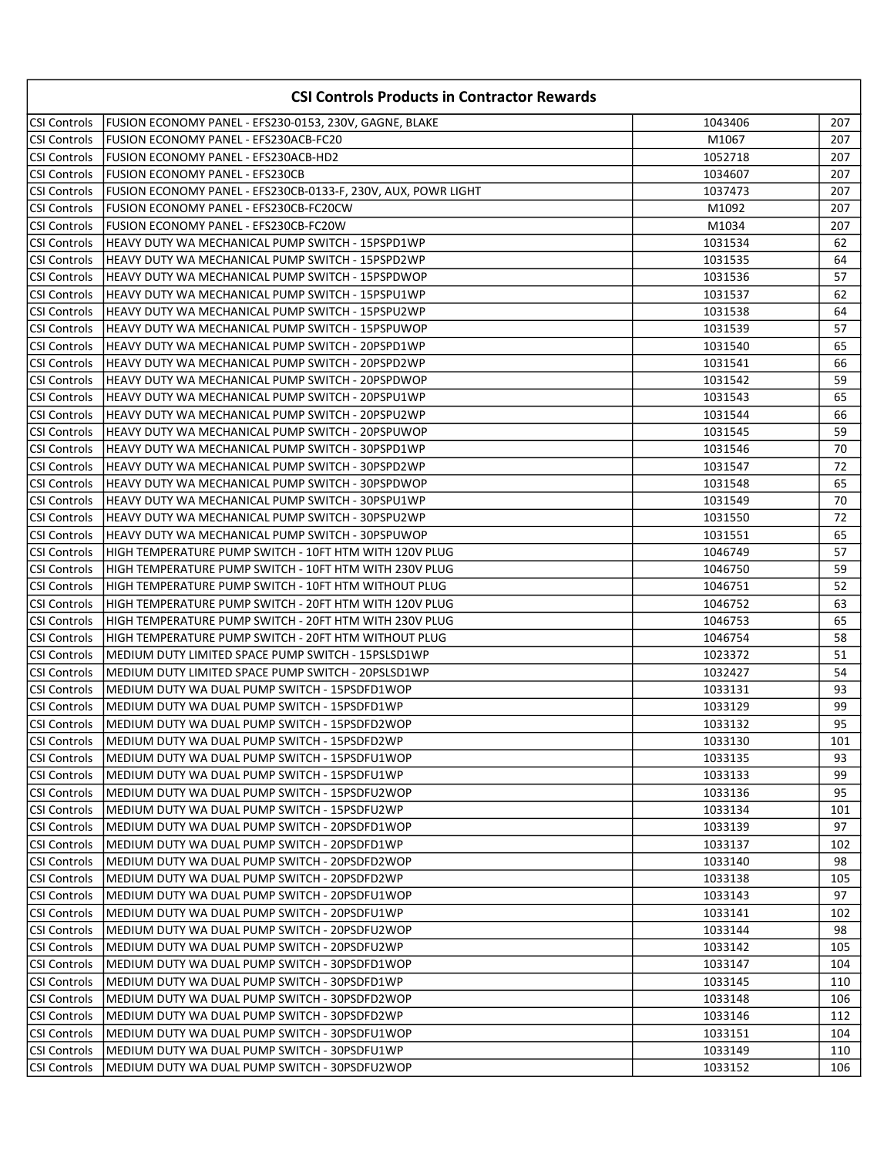|                      | <b>CSI Controls Products in Contractor Rewards</b>            |         |     |
|----------------------|---------------------------------------------------------------|---------|-----|
| CSI Controls         | FUSION ECONOMY PANEL - EFS230-0153, 230V, GAGNE, BLAKE        | 1043406 | 207 |
| CSI Controls         | FUSION ECONOMY PANEL - EFS230ACB-FC20                         | M1067   | 207 |
| CSI Controls         | FUSION ECONOMY PANEL - EFS230ACB-HD2                          | 1052718 | 207 |
| <b>CSI Controls</b>  | <b>FUSION ECONOMY PANEL - EFS230CB</b>                        | 1034607 | 207 |
| <b>CSI Controls</b>  | FUSION ECONOMY PANEL - EFS230CB-0133-F, 230V, AUX, POWR LIGHT | 1037473 | 207 |
| CSI Controls         | FUSION ECONOMY PANEL - EFS230CB-FC20CW                        | M1092   | 207 |
| <b>ICSI Controls</b> | FUSION ECONOMY PANEL - EFS230CB-FC20W                         | M1034   | 207 |
| CSI Controls         | HEAVY DUTY WA MECHANICAL PUMP SWITCH - 15PSPD1WP              | 1031534 | 62  |
| CSI Controls         | HEAVY DUTY WA MECHANICAL PUMP SWITCH - 15PSPD2WP              | 1031535 | 64  |
| CSI Controls         | HEAVY DUTY WA MECHANICAL PUMP SWITCH - 15PSPDWOP              | 1031536 | 57  |
| <b>CSI Controls</b>  | HEAVY DUTY WA MECHANICAL PUMP SWITCH - 15PSPU1WP              | 1031537 | 62  |
| CSI Controls         | HEAVY DUTY WA MECHANICAL PUMP SWITCH - 15PSPU2WP              | 1031538 | 64  |
| <b>CSI Controls</b>  | HEAVY DUTY WA MECHANICAL PUMP SWITCH - 15PSPUWOP              | 1031539 | 57  |
| CSI Controls         | HEAVY DUTY WA MECHANICAL PUMP SWITCH - 20PSPD1WP              | 1031540 | 65  |
| <b>CSI Controls</b>  | HEAVY DUTY WA MECHANICAL PUMP SWITCH - 20PSPD2WP              | 1031541 | 66  |
| CSI Controls         | HEAVY DUTY WA MECHANICAL PUMP SWITCH - 20PSPDWOP              | 1031542 | 59  |
| CSI Controls         | HEAVY DUTY WA MECHANICAL PUMP SWITCH - 20PSPU1WP              | 1031543 | 65  |
| <b>CSI Controls</b>  | HEAVY DUTY WA MECHANICAL PUMP SWITCH - 20PSPU2WP              | 1031544 | 66  |
| CSI Controls         | HEAVY DUTY WA MECHANICAL PUMP SWITCH - 20PSPUWOP              | 1031545 | 59  |
| CSI Controls         | HEAVY DUTY WA MECHANICAL PUMP SWITCH - 30PSPD1WP              | 1031546 | 70  |
| CSI Controls         | HEAVY DUTY WA MECHANICAL PUMP SWITCH - 30PSPD2WP              | 1031547 | 72  |
| CSI Controls         | HEAVY DUTY WA MECHANICAL PUMP SWITCH - 30PSPDWOP              | 1031548 | 65  |
| CSI Controls         | HEAVY DUTY WA MECHANICAL PUMP SWITCH - 30PSPU1WP              | 1031549 | 70  |
| CSI Controls         | HEAVY DUTY WA MECHANICAL PUMP SWITCH - 30PSPU2WP              | 1031550 | 72  |
| CSI Controls         | HEAVY DUTY WA MECHANICAL PUMP SWITCH - 30PSPUWOP              | 1031551 | 65  |
| CSI Controls         | HIGH TEMPERATURE PUMP SWITCH - 10FT HTM WITH 120V PLUG        | 1046749 | 57  |
| CSI Controls         | HIGH TEMPERATURE PUMP SWITCH - 10FT HTM WITH 230V PLUG        | 1046750 | 59  |
| <b>CSI Controls</b>  | HIGH TEMPERATURE PUMP SWITCH - 10FT HTM WITHOUT PLUG          | 1046751 | 52  |
| <b>CSI Controls</b>  | HIGH TEMPERATURE PUMP SWITCH - 20FT HTM WITH 120V PLUG        | 1046752 | 63  |
| <b>CSI Controls</b>  | HIGH TEMPERATURE PUMP SWITCH - 20FT HTM WITH 230V PLUG        | 1046753 | 65  |
| CSI Controls         | HIGH TEMPERATURE PUMP SWITCH - 20FT HTM WITHOUT PLUG          | 1046754 | 58  |
| CSI Controls         | MEDIUM DUTY LIMITED SPACE PUMP SWITCH - 15PSLSD1WP            | 1023372 | 51  |
| CSI Controls         | MEDIUM DUTY LIMITED SPACE PUMP SWITCH - 20PSLSD1WP            | 1032427 | 54  |
| CSI Controls         | MEDIUM DUTY WA DUAL PUMP SWITCH - 15PSDFD1WOP                 | 1033131 | 93  |
| CSI Controls         | IMEDIUM DUTY WA DUAL PUMP SWITCH - 15PSDFD1WP                 | 1033129 | 99  |
| CSI Controls         | MEDIUM DUTY WA DUAL PUMP SWITCH - 15PSDFD2WOP                 | 1033132 | 95  |
| CSI Controls         | MEDIUM DUTY WA DUAL PUMP SWITCH - 15PSDFD2WP                  | 1033130 | 101 |
| CSI Controls         | MEDIUM DUTY WA DUAL PUMP SWITCH - 15PSDFU1WOP                 | 1033135 | 93  |
| CSI Controls         | MEDIUM DUTY WA DUAL PUMP SWITCH - 15PSDFU1WP                  | 1033133 | 99  |
| CSI Controls         | MEDIUM DUTY WA DUAL PUMP SWITCH - 15PSDFU2WOP                 | 1033136 | 95  |
| <b>CSI Controls</b>  | MEDIUM DUTY WA DUAL PUMP SWITCH - 15PSDFU2WP                  | 1033134 | 101 |
| CSI Controls         | MEDIUM DUTY WA DUAL PUMP SWITCH - 20PSDFD1WOP                 | 1033139 | 97  |
| CSI Controls         | MEDIUM DUTY WA DUAL PUMP SWITCH - 20PSDFD1WP                  | 1033137 | 102 |
| CSI Controls         | MEDIUM DUTY WA DUAL PUMP SWITCH - 20PSDFD2WOP                 | 1033140 | 98  |
| CSI Controls         | MEDIUM DUTY WA DUAL PUMP SWITCH - 20PSDFD2WP                  | 1033138 | 105 |
| CSI Controls         | MEDIUM DUTY WA DUAL PUMP SWITCH - 20PSDFU1WOP                 | 1033143 | 97  |
| CSI Controls         | MEDIUM DUTY WA DUAL PUMP SWITCH - 20PSDFU1WP                  | 1033141 | 102 |
| <b>CSI Controls</b>  | IMEDIUM DUTY WA DUAL PUMP SWITCH - 20PSDFU2WOP                | 1033144 | 98  |
| CSI Controls         | MEDIUM DUTY WA DUAL PUMP SWITCH - 20PSDFU2WP                  | 1033142 | 105 |
| CSI Controls         | MEDIUM DUTY WA DUAL PUMP SWITCH - 30PSDFD1WOP                 | 1033147 | 104 |
| CSI Controls         | MEDIUM DUTY WA DUAL PUMP SWITCH - 30PSDFD1WP                  | 1033145 | 110 |
| CSI Controls         | MEDIUM DUTY WA DUAL PUMP SWITCH - 30PSDFD2WOP                 | 1033148 | 106 |
| CSI Controls         | MEDIUM DUTY WA DUAL PUMP SWITCH - 30PSDFD2WP                  | 1033146 | 112 |
| <b>CSI Controls</b>  | MEDIUM DUTY WA DUAL PUMP SWITCH - 30PSDFU1WOP                 | 1033151 | 104 |
| CSI Controls         | MEDIUM DUTY WA DUAL PUMP SWITCH - 30PSDFU1WP                  | 1033149 | 110 |
| CSI Controls         | MEDIUM DUTY WA DUAL PUMP SWITCH - 30PSDFU2WOP                 | 1033152 | 106 |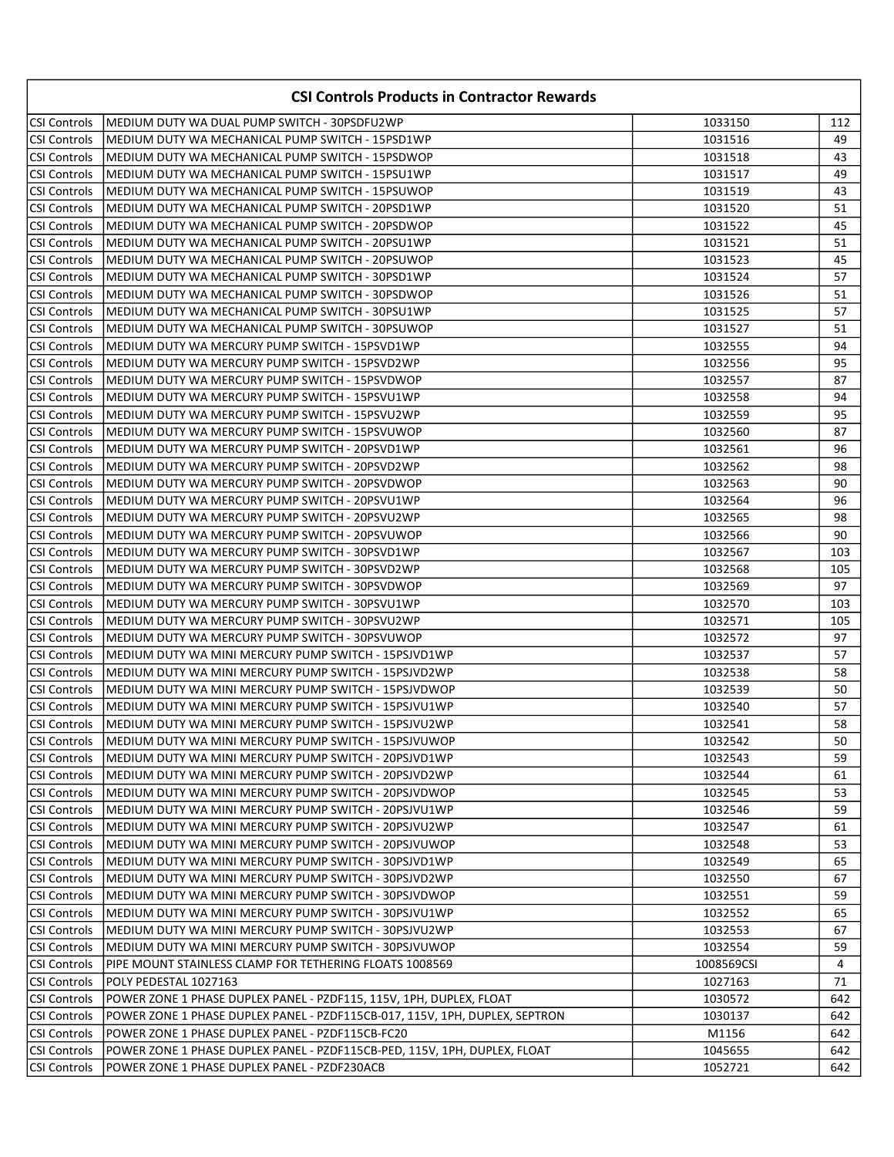| <b>CSI Controls Products in Contractor Rewards</b> |                                                                             |            |     |
|----------------------------------------------------|-----------------------------------------------------------------------------|------------|-----|
| CSI Controls                                       | MEDIUM DUTY WA DUAL PUMP SWITCH - 30PSDFU2WP                                | 1033150    | 112 |
| CSI Controls                                       | MEDIUM DUTY WA MECHANICAL PUMP SWITCH - 15PSD1WP                            | 1031516    | 49  |
| <b>CSI Controls</b>                                | MEDIUM DUTY WA MECHANICAL PUMP SWITCH - 15PSDWOP                            | 1031518    | 43  |
| CSI Controls                                       | MEDIUM DUTY WA MECHANICAL PUMP SWITCH - 15PSU1WP                            | 1031517    | 49  |
| <b>CSI Controls</b>                                | MEDIUM DUTY WA MECHANICAL PUMP SWITCH - 15PSUWOP                            | 1031519    | 43  |
| <b>CSI Controls</b>                                | MEDIUM DUTY WA MECHANICAL PUMP SWITCH - 20PSD1WP                            | 1031520    | 51  |
| <b>CSI Controls</b>                                | MEDIUM DUTY WA MECHANICAL PUMP SWITCH - 20PSDWOP                            | 1031522    | 45  |
| <b>CSI Controls</b>                                | MEDIUM DUTY WA MECHANICAL PUMP SWITCH - 20PSU1WP                            | 1031521    | 51  |
| <b>CSI Controls</b>                                | MEDIUM DUTY WA MECHANICAL PUMP SWITCH - 20PSUWOP                            | 1031523    | 45  |
| <b>CSI Controls</b>                                | MEDIUM DUTY WA MECHANICAL PUMP SWITCH - 30PSD1WP                            | 1031524    | 57  |
| CSI Controls                                       | MEDIUM DUTY WA MECHANICAL PUMP SWITCH - 30PSDWOP                            | 1031526    | 51  |
| CSI Controls                                       | MEDIUM DUTY WA MECHANICAL PUMP SWITCH - 30PSU1WP                            | 1031525    | 57  |
| <b>CSI Controls</b>                                | MEDIUM DUTY WA MECHANICAL PUMP SWITCH - 30PSUWOP                            | 1031527    | 51  |
| <b>CSI Controls</b>                                | MEDIUM DUTY WA MERCURY PUMP SWITCH - 15PSVD1WP                              | 1032555    | 94  |
| <b>CSI Controls</b>                                | MEDIUM DUTY WA MERCURY PUMP SWITCH - 15PSVD2WP                              | 1032556    | 95  |
| <b>CSI Controls</b>                                | MEDIUM DUTY WA MERCURY PUMP SWITCH - 15PSVDWOP                              | 1032557    | 87  |
| CSI Controls                                       | IMEDIUM DUTY WA MERCURY PUMP SWITCH - 15PSVU1WP                             | 1032558    | 94  |
| CSI Controls                                       | MEDIUM DUTY WA MERCURY PUMP SWITCH - 15PSVU2WP                              | 1032559    | 95  |
| CSI Controls                                       | MEDIUM DUTY WA MERCURY PUMP SWITCH - 15PSVUWOP                              | 1032560    | 87  |
| CSI Controls                                       | MEDIUM DUTY WA MERCURY PUMP SWITCH - 20PSVD1WP                              | 1032561    | 96  |
| <b>CSI Controls</b>                                | MEDIUM DUTY WA MERCURY PUMP SWITCH - 20PSVD2WP                              | 1032562    | 98  |
| <b>CSI Controls</b>                                | MEDIUM DUTY WA MERCURY PUMP SWITCH - 20PSVDWOP                              | 1032563    | 90  |
| <b>CSI Controls</b>                                | MEDIUM DUTY WA MERCURY PUMP SWITCH - 20PSVU1WP                              | 1032564    | 96  |
| CSI Controls                                       | MEDIUM DUTY WA MERCURY PUMP SWITCH - 20PSVU2WP                              | 1032565    | 98  |
| CSI Controls                                       | MEDIUM DUTY WA MERCURY PUMP SWITCH - 20PSVUWOP                              | 1032566    | 90  |
| <b>CSI Controls</b>                                | MEDIUM DUTY WA MERCURY PUMP SWITCH - 30PSVD1WP                              | 1032567    | 103 |
| <b>CSI Controls</b>                                | MEDIUM DUTY WA MERCURY PUMP SWITCH - 30PSVD2WP                              | 1032568    | 105 |
| <b>CSI Controls</b>                                | MEDIUM DUTY WA MERCURY PUMP SWITCH - 30PSVDWOP                              | 1032569    | 97  |
| <b>CSI Controls</b>                                | MEDIUM DUTY WA MERCURY PUMP SWITCH - 30PSVU1WP                              | 1032570    | 103 |
| CSI Controls                                       | MEDIUM DUTY WA MERCURY PUMP SWITCH - 30PSVU2WP                              | 1032571    | 105 |
| <b>CSI Controls</b>                                | MEDIUM DUTY WA MERCURY PUMP SWITCH - 30PSVUWOP                              | 1032572    | 97  |
| <b>CSI Controls</b>                                | MEDIUM DUTY WA MINI MERCURY PUMP SWITCH - 15PSJVD1WP                        | 1032537    | 57  |
| <b>CSI Controls</b>                                | MEDIUM DUTY WA MINI MERCURY PUMP SWITCH - 15PSJVD2WP                        | 1032538    | 58  |
| <b>CSI Controls</b>                                | MEDIUM DUTY WA MINI MERCURY PUMP SWITCH - 15PSJVDWOP                        | 1032539    | 50  |
| <b>CSI Controls</b>                                | MEDIUM DUTY WA MINI MERCURY PUMP SWITCH - 15PSJVU1WP                        | 1032540    | 57  |
| CSI Controls                                       | MEDIUM DUTY WA MINI MERCURY PUMP SWITCH - 15PSJVU2WP                        | 1032541    | 58  |
| CSI Controls                                       | MEDIUM DUTY WA MINI MERCURY PUMP SWITCH - 15PSJVUWOP                        | 1032542    | 50  |
| <b>CSI Controls</b>                                | MEDIUM DUTY WA MINI MERCURY PUMP SWITCH - 20PSJVD1WP                        | 1032543    | 59  |
| <b>CSI Controls</b>                                | MEDIUM DUTY WA MINI MERCURY PUMP SWITCH - 20PSJVD2WP                        | 1032544    | 61  |
| CSI Controls                                       | MEDIUM DUTY WA MINI MERCURY PUMP SWITCH - 20PSJVDWOP                        | 1032545    | 53  |
| <b>CSI Controls</b>                                | MEDIUM DUTY WA MINI MERCURY PUMP SWITCH - 20PSJVU1WP                        | 1032546    | 59  |
| CSI Controls                                       | MEDIUM DUTY WA MINI MERCURY PUMP SWITCH - 20PSJVU2WP                        | 1032547    | 61  |
| <b>CSI Controls</b>                                | MEDIUM DUTY WA MINI MERCURY PUMP SWITCH - 20PSJVUWOP                        | 1032548    | 53  |
| <b>CSI Controls</b>                                | MEDIUM DUTY WA MINI MERCURY PUMP SWITCH - 30PSJVD1WP                        | 1032549    | 65  |
| <b>CSI Controls</b>                                | MEDIUM DUTY WA MINI MERCURY PUMP SWITCH - 30PSJVD2WP                        | 1032550    | 67  |
| <b>CSI Controls</b>                                | MEDIUM DUTY WA MINI MERCURY PUMP SWITCH - 30PSJVDWOP                        | 1032551    | 59  |
| CSI Controls                                       | MEDIUM DUTY WA MINI MERCURY PUMP SWITCH - 30PSJVU1WP                        | 1032552    | 65  |
| CSI Controls                                       | MEDIUM DUTY WA MINI MERCURY PUMP SWITCH - 30PSJVU2WP                        | 1032553    | 67  |
| CSI Controls                                       | MEDIUM DUTY WA MINI MERCURY PUMP SWITCH - 30PSJVUWOP                        | 1032554    | 59  |
| CSI Controls                                       | PIPE MOUNT STAINLESS CLAMP FOR TETHERING FLOATS 1008569                     | 1008569CSI | 4   |
| CSI Controls                                       | POLY PEDESTAL 1027163                                                       | 1027163    | 71  |
| CSI Controls                                       | POWER ZONE 1 PHASE DUPLEX PANEL - PZDF115, 115V, 1PH, DUPLEX, FLOAT         | 1030572    | 642 |
| CSI Controls                                       | POWER ZONE 1 PHASE DUPLEX PANEL - PZDF115CB-017, 115V, 1PH, DUPLEX, SEPTRON | 1030137    | 642 |
| CSI Controls                                       | POWER ZONE 1 PHASE DUPLEX PANEL - PZDF115CB-FC20                            | M1156      | 642 |
| CSI Controls                                       | POWER ZONE 1 PHASE DUPLEX PANEL - PZDF115CB-PED, 115V, 1PH, DUPLEX, FLOAT   | 1045655    | 642 |
| CSI Controls                                       | POWER ZONE 1 PHASE DUPLEX PANEL - PZDF230ACB                                | 1052721    | 642 |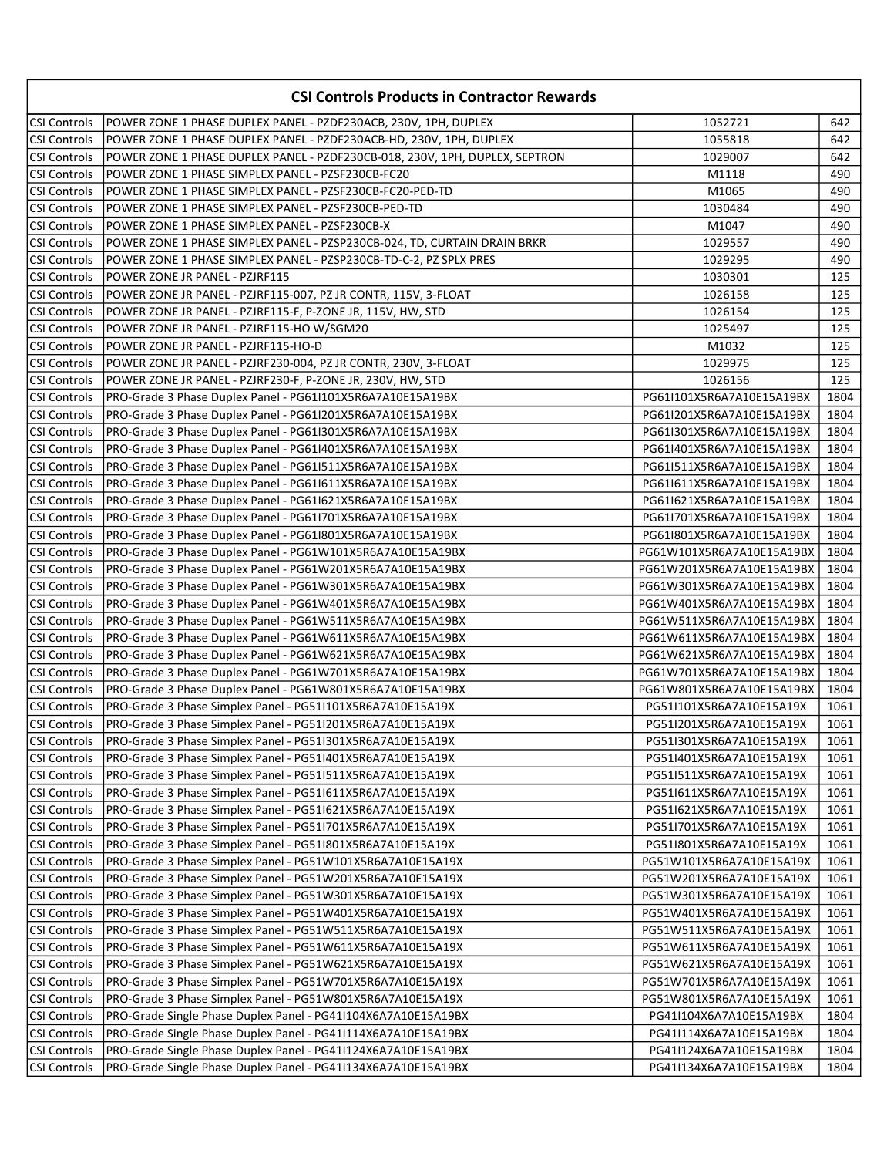| <b>CSI Controls Products in Contractor Rewards</b> |                                                                             |                           |              |
|----------------------------------------------------|-----------------------------------------------------------------------------|---------------------------|--------------|
| CSI Controls                                       | POWER ZONE 1 PHASE DUPLEX PANEL - PZDF230ACB, 230V, 1PH, DUPLEX             | 1052721                   | 642          |
| <b>CSI Controls</b>                                | POWER ZONE 1 PHASE DUPLEX PANEL - PZDF230ACB-HD, 230V, 1PH, DUPLEX          | 1055818                   | 642          |
| CSI Controls                                       | POWER ZONE 1 PHASE DUPLEX PANEL - PZDF230CB-018, 230V, 1PH, DUPLEX, SEPTRON | 1029007                   | 642          |
| CSI Controls                                       | POWER ZONE 1 PHASE SIMPLEX PANEL - PZSF230CB-FC20                           | M1118                     | 490          |
| CSI Controls                                       | POWER ZONE 1 PHASE SIMPLEX PANEL - PZSF230CB-FC20-PED-TD                    | M1065                     | 490          |
| CSI Controls                                       | POWER ZONE 1 PHASE SIMPLEX PANEL - PZSF230CB-PED-TD                         | 1030484                   | 490          |
| <b>CSI Controls</b>                                | POWER ZONE 1 PHASE SIMPLEX PANEL - PZSF230CB-X                              | M1047                     | 490          |
| <b>CSI Controls</b>                                | POWER ZONE 1 PHASE SIMPLEX PANEL - PZSP230CB-024, TD, CURTAIN DRAIN BRKR    | 1029557                   | 490          |
| <b>CSI Controls</b>                                | POWER ZONE 1 PHASE SIMPLEX PANEL - PZSP230CB-TD-C-2, PZ SPLX PRES           | 1029295                   | 490          |
| CSI Controls                                       | POWER ZONE JR PANEL - PZJRF115                                              | 1030301                   | 125          |
| <b>CSI Controls</b>                                | POWER ZONE JR PANEL - PZJRF115-007, PZ JR CONTR, 115V, 3-FLOAT              | 1026158                   | 125          |
| <b>CSI Controls</b>                                | POWER ZONE JR PANEL - PZJRF115-F, P-ZONE JR, 115V, HW, STD                  | 1026154                   | 125          |
| <b>CSI Controls</b>                                | POWER ZONE JR PANEL - PZJRF115-HO W/SGM20                                   | 1025497                   | 125          |
| <b>CSI Controls</b>                                | POWER ZONE JR PANEL - PZJRF115-HO-D                                         | M1032                     | 125          |
| <b>CSI Controls</b>                                | POWER ZONE JR PANEL - PZJRF230-004, PZ JR CONTR, 230V, 3-FLOAT              | 1029975                   | 125          |
| <b>CSI Controls</b>                                | POWER ZONE JR PANEL - PZJRF230-F, P-ZONE JR, 230V, HW, STD                  | 1026156                   | 125          |
| <b>CSI Controls</b>                                | PRO-Grade 3 Phase Duplex Panel - PG61I101X5R6A7A10E15A19BX                  | PG61I101X5R6A7A10E15A19BX | 1804         |
| <b>CSI Controls</b>                                | PRO-Grade 3 Phase Duplex Panel - PG61I201X5R6A7A10E15A19BX                  | PG61I201X5R6A7A10E15A19BX | 1804         |
| <b>CSI Controls</b>                                | PRO-Grade 3 Phase Duplex Panel - PG61I301X5R6A7A10E15A19BX                  | PG61I301X5R6A7A10E15A19BX | 1804         |
| <b>CSI Controls</b>                                | PRO-Grade 3 Phase Duplex Panel - PG611401X5R6A7A10E15A19BX                  | PG61I401X5R6A7A10E15A19BX | 1804         |
| <b>CSI Controls</b>                                | PRO-Grade 3 Phase Duplex Panel - PG611511X5R6A7A10E15A19BX                  | PG61I511X5R6A7A10E15A19BX | 1804         |
| <b>CSI Controls</b>                                | PRO-Grade 3 Phase Duplex Panel - PG611611X5R6A7A10E15A19BX                  | PG61I611X5R6A7A10E15A19BX | 1804         |
| <b>CSI Controls</b>                                | PRO-Grade 3 Phase Duplex Panel - PG611621X5R6A7A10E15A19BX                  | PG61I621X5R6A7A10E15A19BX | 1804         |
| <b>CSI Controls</b>                                | PRO-Grade 3 Phase Duplex Panel - PG611701X5R6A7A10E15A19BX                  | PG61I701X5R6A7A10E15A19BX | 1804         |
| <b>CSI Controls</b>                                | PRO-Grade 3 Phase Duplex Panel - PG61I801X5R6A7A10E15A19BX                  | PG61I801X5R6A7A10E15A19BX | 1804         |
| <b>CSI Controls</b>                                | PRO-Grade 3 Phase Duplex Panel - PG61W101X5R6A7A10E15A19BX                  | PG61W101X5R6A7A10E15A19BX | 1804         |
| <b>CSI Controls</b>                                | PRO-Grade 3 Phase Duplex Panel - PG61W201X5R6A7A10E15A19BX                  | PG61W201X5R6A7A10E15A19BX | 1804         |
| CSI Controls                                       | PRO-Grade 3 Phase Duplex Panel - PG61W301X5R6A7A10E15A19BX                  | PG61W301X5R6A7A10E15A19BX | 1804         |
| CSI Controls                                       | PRO-Grade 3 Phase Duplex Panel - PG61W401X5R6A7A10E15A19BX                  | PG61W401X5R6A7A10E15A19BX | 1804         |
| CSI Controls                                       | PRO-Grade 3 Phase Duplex Panel - PG61W511X5R6A7A10E15A19BX                  | PG61W511X5R6A7A10E15A19BX | 1804         |
| CSI Controls                                       | PRO-Grade 3 Phase Duplex Panel - PG61W611X5R6A7A10E15A19BX                  | PG61W611X5R6A7A10E15A19BX | 1804         |
| <b>CSI Controls</b>                                | PRO-Grade 3 Phase Duplex Panel - PG61W621X5R6A7A10E15A19BX                  | PG61W621X5R6A7A10E15A19BX | 1804         |
| CSI Controls                                       | PRO-Grade 3 Phase Duplex Panel - PG61W701X5R6A7A10E15A19BX                  | PG61W701X5R6A7A10E15A19BX | 1804         |
| CSI Controls                                       | PRO-Grade 3 Phase Duplex Panel - PG61W801X5R6A7A10E15A19BX                  | PG61W801X5R6A7A10E15A19BX | 1804         |
| <b>CSI Controls</b>                                | PRO-Grade 3 Phase Simplex Panel - PG51I101X5R6A7A10E15A19X                  | PG51I101X5R6A7A10E15A19X  | 1061         |
| <b>CSI Controls</b>                                | PRO-Grade 3 Phase Simplex Panel - PG511201X5R6A7A10E15A19X                  | PG51I201X5R6A7A10E15A19X  | 1061         |
| CSI Controls                                       | PRO-Grade 3 Phase Simplex Panel - PG51I301X5R6A7A10E15A19X                  | PG51I301X5R6A7A10E15A19X  | 1061         |
| <b>CSI Controls</b>                                | PRO-Grade 3 Phase Simplex Panel - PG51I401X5R6A7A10E15A19X                  | PG51I401X5R6A7A10E15A19X  | 1061         |
| <b>CSI Controls</b>                                | PRO-Grade 3 Phase Simplex Panel - PG51I511X5R6A7A10E15A19X                  | PG51I511X5R6A7A10E15A19X  | 1061         |
| <b>CSI Controls</b>                                | PRO-Grade 3 Phase Simplex Panel - PG511611X5R6A7A10E15A19X                  | PG51I611X5R6A7A10E15A19X  | 1061         |
| <b>CSI Controls</b>                                | PRO-Grade 3 Phase Simplex Panel - PG511621X5R6A7A10E15A19X                  | PG51I621X5R6A7A10E15A19X  | 1061         |
| <b>CSI Controls</b>                                | PRO-Grade 3 Phase Simplex Panel - PG51I701X5R6A7A10E15A19X                  | PG51I701X5R6A7A10E15A19X  | 1061         |
| <b>CSI Controls</b>                                | PRO-Grade 3 Phase Simplex Panel - PG51I801X5R6A7A10E15A19X                  | PG51I801X5R6A7A10E15A19X  | 1061         |
| CSI Controls                                       | PRO-Grade 3 Phase Simplex Panel - PG51W101X5R6A7A10E15A19X                  | PG51W101X5R6A7A10E15A19X  | 1061         |
| <b>CSI Controls</b>                                | PRO-Grade 3 Phase Simplex Panel - PG51W201X5R6A7A10E15A19X                  | PG51W201X5R6A7A10E15A19X  | 1061         |
| <b>CSI Controls</b>                                | PRO-Grade 3 Phase Simplex Panel - PG51W301X5R6A7A10E15A19X                  | PG51W301X5R6A7A10E15A19X  | 1061         |
| <b>CSI Controls</b>                                | PRO-Grade 3 Phase Simplex Panel - PG51W401X5R6A7A10E15A19X                  | PG51W401X5R6A7A10E15A19X  | 1061         |
| <b>CSI Controls</b>                                | PRO-Grade 3 Phase Simplex Panel - PG51W511X5R6A7A10E15A19X                  | PG51W511X5R6A7A10E15A19X  | 1061         |
| <b>CSI Controls</b>                                | PRO-Grade 3 Phase Simplex Panel - PG51W611X5R6A7A10E15A19X                  | PG51W611X5R6A7A10E15A19X  | 1061         |
| <b>CSI Controls</b>                                | PRO-Grade 3 Phase Simplex Panel - PG51W621X5R6A7A10E15A19X                  | PG51W621X5R6A7A10E15A19X  | 1061         |
|                                                    | PRO-Grade 3 Phase Simplex Panel - PG51W701X5R6A7A10E15A19X                  |                           |              |
| <b>CSI Controls</b>                                |                                                                             | PG51W701X5R6A7A10E15A19X  | 1061         |
| <b>CSI Controls</b>                                | PRO-Grade 3 Phase Simplex Panel - PG51W801X5R6A7A10E15A19X                  | PG51W801X5R6A7A10E15A19X  | 1061         |
| CSI Controls                                       | PRO-Grade Single Phase Duplex Panel - PG41I104X6A7A10E15A19BX               | PG41I104X6A7A10E15A19BX   | 1804         |
| <b>CSI Controls</b><br>CSI Controls                | PRO-Grade Single Phase Duplex Panel - PG411114X6A7A10E15A19BX               | PG41I114X6A7A10E15A19BX   | 1804         |
|                                                    | PRO-Grade Single Phase Duplex Panel - PG41I124X6A7A10E15A19BX               | PG41I124X6A7A10E15A19BX   | 1804<br>1804 |
| CSI Controls                                       | PRO-Grade Single Phase Duplex Panel - PG41I134X6A7A10E15A19BX               | PG41I134X6A7A10E15A19BX   |              |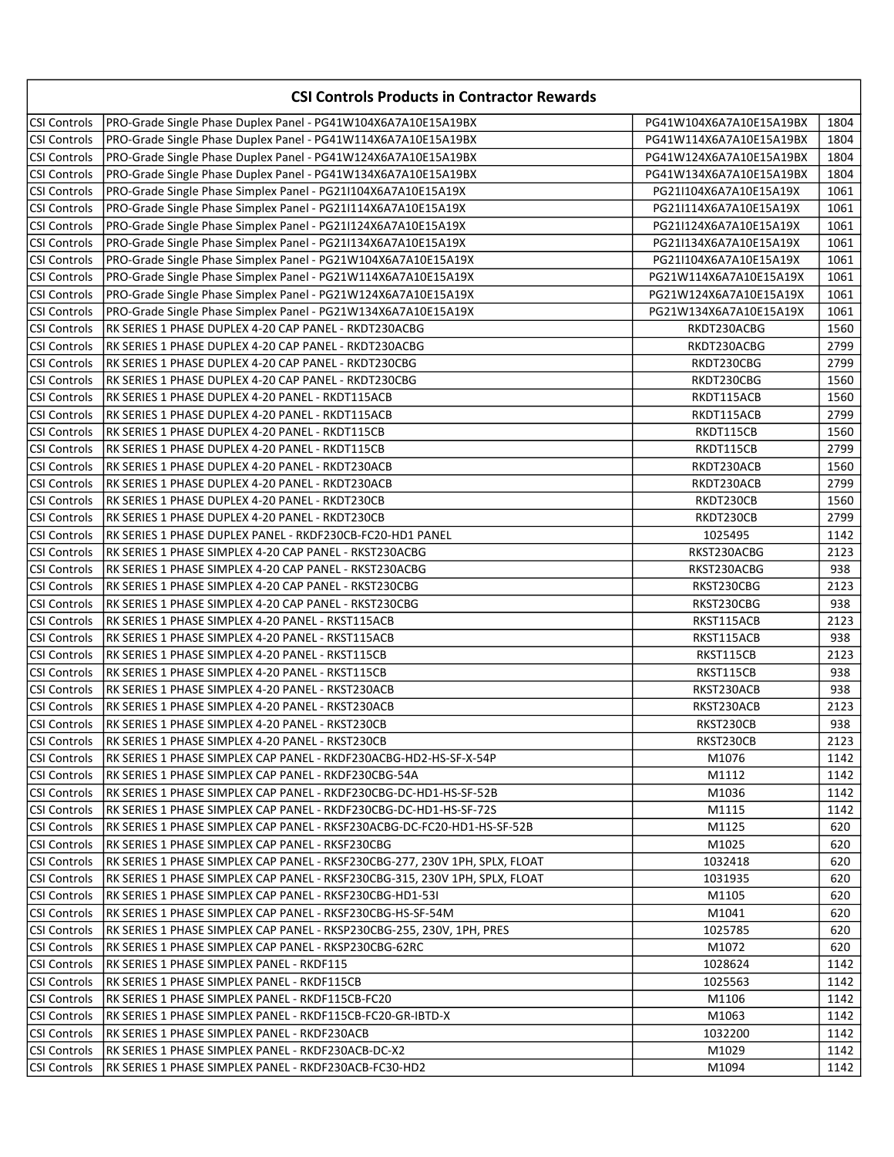| <b>CSI Controls Products in Contractor Rewards</b> |                                                                             |                         |      |
|----------------------------------------------------|-----------------------------------------------------------------------------|-------------------------|------|
| CSI Controls                                       | PRO-Grade Single Phase Duplex Panel - PG41W104X6A7A10E15A19BX               | PG41W104X6A7A10E15A19BX | 1804 |
| <b>CSI Controls</b>                                | PRO-Grade Single Phase Duplex Panel - PG41W114X6A7A10E15A19BX               | PG41W114X6A7A10E15A19BX | 1804 |
| <b>CSI Controls</b>                                | PRO-Grade Single Phase Duplex Panel - PG41W124X6A7A10E15A19BX               | PG41W124X6A7A10E15A19BX | 1804 |
| <b>CSI Controls</b>                                | PRO-Grade Single Phase Duplex Panel - PG41W134X6A7A10E15A19BX               | PG41W134X6A7A10E15A19BX | 1804 |
| <b>CSI Controls</b>                                | PRO-Grade Single Phase Simplex Panel - PG21I104X6A7A10E15A19X               | PG21I104X6A7A10E15A19X  | 1061 |
| CSI Controls                                       | PRO-Grade Single Phase Simplex Panel - PG21I114X6A7A10E15A19X               | PG21I114X6A7A10E15A19X  | 1061 |
| CSI Controls                                       | PRO-Grade Single Phase Simplex Panel - PG21I124X6A7A10E15A19X               | PG21I124X6A7A10E15A19X  | 1061 |
| CSI Controls                                       | PRO-Grade Single Phase Simplex Panel - PG21I134X6A7A10E15A19X               | PG21I134X6A7A10E15A19X  | 1061 |
| CSI Controls                                       | PRO-Grade Single Phase Simplex Panel - PG21W104X6A7A10E15A19X               | PG21I104X6A7A10E15A19X  | 1061 |
| <b>CSI Controls</b>                                | PRO-Grade Single Phase Simplex Panel - PG21W114X6A7A10E15A19X               | PG21W114X6A7A10E15A19X  | 1061 |
| CSI Controls                                       | PRO-Grade Single Phase Simplex Panel - PG21W124X6A7A10E15A19X               | PG21W124X6A7A10E15A19X  | 1061 |
| <b>CSI Controls</b>                                | PRO-Grade Single Phase Simplex Panel - PG21W134X6A7A10E15A19X               | PG21W134X6A7A10E15A19X  | 1061 |
| <b>CSI Controls</b>                                | RK SERIES 1 PHASE DUPLEX 4-20 CAP PANEL - RKDT230ACBG                       | RKDT230ACBG             | 1560 |
| <b>CSI Controls</b>                                | RK SERIES 1 PHASE DUPLEX 4-20 CAP PANEL - RKDT230ACBG                       | RKDT230ACBG             | 2799 |
| <b>CSI Controls</b>                                | RK SERIES 1 PHASE DUPLEX 4-20 CAP PANEL - RKDT230CBG                        | RKDT230CBG              | 2799 |
| <b>CSI Controls</b>                                | RK SERIES 1 PHASE DUPLEX 4-20 CAP PANEL - RKDT230CBG                        | RKDT230CBG              | 1560 |
| <b>CSI Controls</b>                                | RK SERIES 1 PHASE DUPLEX 4-20 PANEL - RKDT115ACB                            | RKDT115ACB              | 1560 |
| <b>CSI Controls</b>                                | RK SERIES 1 PHASE DUPLEX 4-20 PANEL - RKDT115ACB                            | RKDT115ACB              | 2799 |
| <b>CSI Controls</b>                                | RK SERIES 1 PHASE DUPLEX 4-20 PANEL - RKDT115CB                             | RKDT115CB               | 1560 |
| <b>CSI Controls</b>                                | RK SERIES 1 PHASE DUPLEX 4-20 PANEL - RKDT115CB                             | RKDT115CB               | 2799 |
| <b>CSI Controls</b>                                | RK SERIES 1 PHASE DUPLEX 4-20 PANEL - RKDT230ACB                            | RKDT230ACB              | 1560 |
| <b>CSI Controls</b>                                | RK SERIES 1 PHASE DUPLEX 4-20 PANEL - RKDT230ACB                            | RKDT230ACB              | 2799 |
| <b>CSI Controls</b>                                | RK SERIES 1 PHASE DUPLEX 4-20 PANEL - RKDT230CB                             | RKDT230CB               | 1560 |
| <b>CSI Controls</b>                                | RK SERIES 1 PHASE DUPLEX 4-20 PANEL - RKDT230CB                             | RKDT230CB               | 2799 |
| <b>CSI Controls</b>                                | RK SERIES 1 PHASE DUPLEX PANEL - RKDF230CB-FC20-HD1 PANEL                   | 1025495                 | 1142 |
| <b>CSI Controls</b>                                | RK SERIES 1 PHASE SIMPLEX 4-20 CAP PANEL - RKST230ACBG                      | RKST230ACBG             | 2123 |
| <b>CSI Controls</b>                                | RK SERIES 1 PHASE SIMPLEX 4-20 CAP PANEL - RKST230ACBG                      | RKST230ACBG             | 938  |
| <b>CSI Controls</b>                                | RK SERIES 1 PHASE SIMPLEX 4-20 CAP PANEL - RKST230CBG                       | RKST230CBG              | 2123 |
| <b>CSI Controls</b>                                | RK SERIES 1 PHASE SIMPLEX 4-20 CAP PANEL - RKST230CBG                       | RKST230CBG              | 938  |
| <b>CSI Controls</b>                                | RK SERIES 1 PHASE SIMPLEX 4-20 PANEL - RKST115ACB                           | RKST115ACB              | 2123 |
| CSI Controls                                       | RK SERIES 1 PHASE SIMPLEX 4-20 PANEL - RKST115ACB                           | RKST115ACB              | 938  |
| CSI Controls                                       | RK SERIES 1 PHASE SIMPLEX 4-20 PANEL - RKST115CB                            | RKST115CB               | 2123 |
| CSI Controls                                       | RK SERIES 1 PHASE SIMPLEX 4-20 PANEL - RKST115CB                            | RKST115CB               | 938  |
| CSI Controls                                       | RK SERIES 1 PHASE SIMPLEX 4-20 PANEL - RKST230ACB                           | RKST230ACB              | 938  |
| <b>CSI Controls</b>                                | RK SERIES 1 PHASE SIMPLEX 4-20 PANEL - RKST230ACB                           | RKST230ACB              | 2123 |
| <b>CSI Controls</b>                                | RK SERIES 1 PHASE SIMPLEX 4-20 PANEL - RKST230CB                            | RKST230CB               | 938  |
| CSI Controls                                       | IRK SERIES 1 PHASE SIMPLEX 4-20 PANEL - RKST230CB                           | RKST230CB               | 2123 |
| CSI Controls                                       | IRK SERIES 1 PHASE SIMPLEX CAP PANEL - RKDF230ACBG-HD2-HS-SF-X-54P          | M1076                   | 1142 |
| CSI Controls                                       | RK SERIES 1 PHASE SIMPLEX CAP PANEL - RKDF230CBG-54A                        | M1112                   | 1142 |
| CSI Controls                                       | RK SERIES 1 PHASE SIMPLEX CAP PANEL - RKDF230CBG-DC-HD1-HS-SF-52B           | M1036                   | 1142 |
| <b>CSI Controls</b>                                | RK SERIES 1 PHASE SIMPLEX CAP PANEL - RKDF230CBG-DC-HD1-HS-SF-72S           | M1115                   | 1142 |
| <b>CSI Controls</b>                                | RK SERIES 1 PHASE SIMPLEX CAP PANEL - RKSF230ACBG-DC-FC20-HD1-HS-SF-52B     | M1125                   | 620  |
| CSI Controls                                       | RK SERIES 1 PHASE SIMPLEX CAP PANEL - RKSF230CBG                            | M1025                   | 620  |
| <b>CSI Controls</b>                                | RK SERIES 1 PHASE SIMPLEX CAP PANEL - RKSF230CBG-277, 230V 1PH, SPLX, FLOAT | 1032418                 | 620  |
| <b>CSI Controls</b>                                | RK SERIES 1 PHASE SIMPLEX CAP PANEL - RKSF230CBG-315, 230V 1PH, SPLX, FLOAT | 1031935                 | 620  |
| <b>CSI Controls</b>                                | RK SERIES 1 PHASE SIMPLEX CAP PANEL - RKSF230CBG-HD1-53I                    | M1105                   | 620  |
| CSI Controls                                       | RK SERIES 1 PHASE SIMPLEX CAP PANEL - RKSF230CBG-HS-SF-54M                  | M1041                   | 620  |
| CSI Controls                                       | RK SERIES 1 PHASE SIMPLEX CAP PANEL - RKSP230CBG-255, 230V, 1PH, PRES       | 1025785                 | 620  |
| CSI Controls                                       | RK SERIES 1 PHASE SIMPLEX CAP PANEL - RKSP230CBG-62RC                       | M1072                   | 620  |
| CSI Controls                                       | RK SERIES 1 PHASE SIMPLEX PANEL - RKDF115                                   | 1028624                 | 1142 |
| CSI Controls                                       | RK SERIES 1 PHASE SIMPLEX PANEL - RKDF115CB                                 | 1025563                 | 1142 |
| <b>CSI Controls</b>                                | RK SERIES 1 PHASE SIMPLEX PANEL - RKDF115CB-FC20                            | M1106                   | 1142 |
| CSI Controls                                       | RK SERIES 1 PHASE SIMPLEX PANEL - RKDF115CB-FC20-GR-IBTD-X                  | M1063                   | 1142 |
| <b>CSI Controls</b>                                | IRK SERIES 1 PHASE SIMPLEX PANEL - RKDF230ACB                               | 1032200                 | 1142 |
| CSI Controls                                       | RK SERIES 1 PHASE SIMPLEX PANEL - RKDF230ACB-DC-X2                          | M1029                   | 1142 |
| CSI Controls                                       | RK SERIES 1 PHASE SIMPLEX PANEL - RKDF230ACB-FC30-HD2                       | M1094                   | 1142 |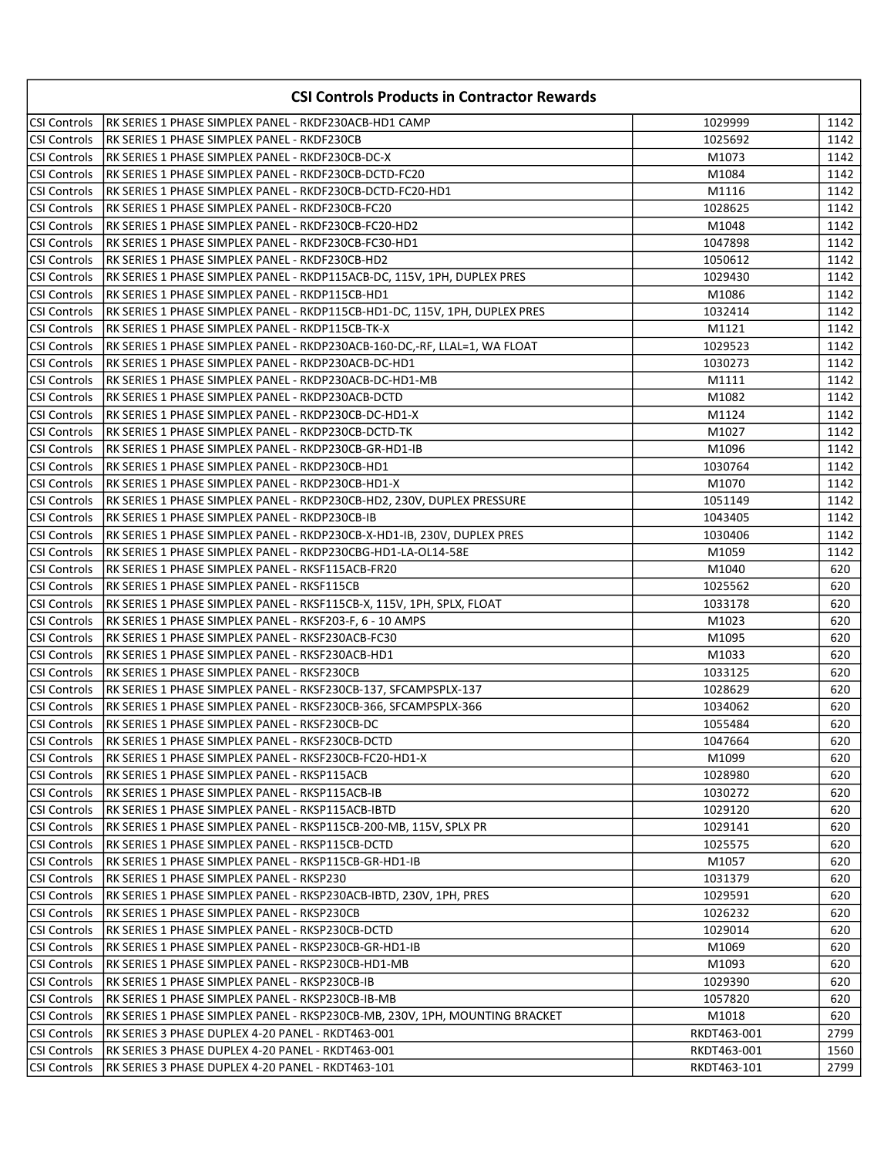|                     | <b>CSI Controls Products in Contractor Rewards</b>                                                                                             |                    |            |
|---------------------|------------------------------------------------------------------------------------------------------------------------------------------------|--------------------|------------|
| CSI Controls        | RK SERIES 1 PHASE SIMPLEX PANEL - RKDF230ACB-HD1 CAMP                                                                                          | 1029999            | 1142       |
| <b>CSI Controls</b> | IRK SERIES 1 PHASE SIMPLEX PANEL - RKDF230CB                                                                                                   | 1025692            | 1142       |
| <b>CSI Controls</b> | RK SERIES 1 PHASE SIMPLEX PANEL - RKDF230CB-DC-X                                                                                               | M1073              | 1142       |
| <b>CSI Controls</b> | RK SERIES 1 PHASE SIMPLEX PANEL - RKDF230CB-DCTD-FC20                                                                                          | M1084              | 1142       |
| <b>CSI Controls</b> | RK SERIES 1 PHASE SIMPLEX PANEL - RKDF230CB-DCTD-FC20-HD1                                                                                      | M1116              | 1142       |
| <b>CSI Controls</b> | IRK SERIES 1 PHASE SIMPLEX PANEL - RKDF230CB-FC20                                                                                              | 1028625            | 1142       |
| <b>CSI Controls</b> | IRK SERIES 1 PHASE SIMPLEX PANEL - RKDF230CB-FC20-HD2                                                                                          | M1048              | 1142       |
| CSI Controls        | IRK SERIES 1 PHASE SIMPLEX PANEL - RKDF230CB-FC30-HD1                                                                                          | 1047898            | 1142       |
| <b>CSI Controls</b> | RK SERIES 1 PHASE SIMPLEX PANEL - RKDF230CB-HD2                                                                                                | 1050612            | 1142       |
|                     | CSI Controls   RK SERIES 1 PHASE SIMPLEX PANEL - RKDP115ACB-DC, 115V, 1PH, DUPLEX PRES                                                         | 1029430            | 1142       |
|                     | CSI Controls   RK SERIES 1 PHASE SIMPLEX PANEL - RKDP115CB-HD1                                                                                 | M1086              | 1142       |
|                     | CSI Controls  RK SERIES 1 PHASE SIMPLEX PANEL - RKDP115CB-HD1-DC, 115V, 1PH, DUPLEX PRES                                                       | 1032414            | 1142       |
|                     | CSI Controls   RK SERIES 1 PHASE SIMPLEX PANEL - RKDP115CB-TK-X                                                                                | M1121              | 1142       |
|                     | CSI Controls   RK SERIES 1 PHASE SIMPLEX PANEL - RKDP230ACB-160-DC,-RF, LLAL=1, WA FLOAT                                                       | 1029523            | 1142       |
|                     | CSI Controls    RK SERIES 1 PHASE SIMPLEX PANEL - RKDP230ACB-DC-HD1                                                                            | 1030273            | 1142       |
|                     | CSI Controls   RK SERIES 1 PHASE SIMPLEX PANEL - RKDP230ACB-DC-HD1-MB                                                                          | M1111              | 1142       |
|                     | CSI Controls   RK SERIES 1 PHASE SIMPLEX PANEL - RKDP230ACB-DCTD                                                                               | M1082              | 1142       |
|                     | CSI Controls   RK SERIES 1 PHASE SIMPLEX PANEL - RKDP230CB-DC-HD1-X                                                                            | M1124              | 1142       |
|                     | CSI Controls   RK SERIES 1 PHASE SIMPLEX PANEL - RKDP230CB-DCTD-TK                                                                             | M1027              | 1142       |
|                     | CSI Controls     RK SERIES 1 PHASE SIMPLEX PANEL - RKDP230CB-GR-HD1-IB                                                                         | M1096              | 1142       |
|                     | CSI Controls   RK SERIES 1 PHASE SIMPLEX PANEL - RKDP230CB-HD1                                                                                 | 1030764            | 1142       |
|                     | CSI Controls RK SERIES 1 PHASE SIMPLEX PANEL - RKDP230CB-HD1-X                                                                                 | M1070              | 1142       |
|                     | CSI Controls RK SERIES 1 PHASE SIMPLEX PANEL - RKDP230CB-HD2, 230V, DUPLEX PRESSURE                                                            | 1051149            | 1142       |
|                     | CSI Controls   RK SERIES 1 PHASE SIMPLEX PANEL - RKDP230CB-IB                                                                                  | 1043405            | 1142       |
| <b>CSI Controls</b> | RK SERIES 1 PHASE SIMPLEX PANEL - RKDP230CB-X-HD1-IB, 230V, DUPLEX PRES                                                                        | 1030406            | 1142       |
| <b>CSI Controls</b> | RK SERIES 1 PHASE SIMPLEX PANEL - RKDP230CBG-HD1-LA-OL14-58E                                                                                   | M1059              | 1142       |
| CSI Controls        | IRK SERIES 1 PHASE SIMPLEX PANEL - RKSF115ACB-FR20                                                                                             | M1040              | 620        |
| <b>CSI Controls</b> | RK SERIES 1 PHASE SIMPLEX PANEL - RKSF115CB                                                                                                    | 1025562            | 620        |
| CSI Controls        | RK SERIES 1 PHASE SIMPLEX PANEL - RKSF115CB-X, 115V, 1PH, SPLX, FLOAT                                                                          | 1033178            | 620        |
| CSI Controls        | RK SERIES 1 PHASE SIMPLEX PANEL - RKSF203-F, 6 - 10 AMPS                                                                                       | M1023              | 620        |
| <b>CSI Controls</b> | RK SERIES 1 PHASE SIMPLEX PANEL - RKSF230ACB-FC30                                                                                              | M1095              | 620        |
| CSI Controls        | IRK SERIES 1 PHASE SIMPLEX PANEL - RKSF230ACB-HD1                                                                                              | M1033              | 620        |
| CSI Controls        | IRK SERIES 1 PHASE SIMPLEX PANEL - RKSF230CB                                                                                                   | 1033125            | 620        |
|                     | CSI Controls RK SERIES 1 PHASE SIMPLEX PANEL - RKSF230CB-137, SFCAMPSPLX-137                                                                   | 1028629            | 620        |
|                     | CSI Controls  RK SERIES 1 PHASE SIMPLEX PANEL - RKSF230CB-366, SFCAMPSPLX-366<br>CSI Controls   RK SERIES 1 PHASE SIMPLEX PANEL - RKSF230CB-DC | 1034062<br>1055484 | 620<br>620 |
|                     | CSI Controls   RK SERIES 1 PHASE SIMPLEX PANEL - RKSF230CB-DCTD                                                                                | 1047664            | 620        |
| <b>CSI Controls</b> | RK SERIES 1 PHASE SIMPLEX PANEL - RKSF230CB-FC20-HD1-X                                                                                         | M1099              | 620        |
| CSI Controls        | RK SERIES 1 PHASE SIMPLEX PANEL - RKSP115ACB                                                                                                   | 1028980            | 620        |
| CSI Controls        | RK SERIES 1 PHASE SIMPLEX PANEL - RKSP115ACB-IB                                                                                                | 1030272            | 620        |
| CSI Controls        | RK SERIES 1 PHASE SIMPLEX PANEL - RKSP115ACB-IBTD                                                                                              | 1029120            | 620        |
| CSI Controls        | RK SERIES 1 PHASE SIMPLEX PANEL - RKSP115CB-200-MB, 115V, SPLX PR                                                                              | 1029141            | 620        |
| CSI Controls        | RK SERIES 1 PHASE SIMPLEX PANEL - RKSP115CB-DCTD                                                                                               | 1025575            | 620        |
| CSI Controls        | RK SERIES 1 PHASE SIMPLEX PANEL - RKSP115CB-GR-HD1-IB                                                                                          | M1057              | 620        |
| CSI Controls        | RK SERIES 1 PHASE SIMPLEX PANEL - RKSP230                                                                                                      | 1031379            | 620        |
| CSI Controls        | RK SERIES 1 PHASE SIMPLEX PANEL - RKSP230ACB-IBTD, 230V, 1PH, PRES                                                                             | 1029591            | 620        |
| CSI Controls        | RK SERIES 1 PHASE SIMPLEX PANEL - RKSP230CB                                                                                                    | 1026232            | 620        |
| CSI Controls        | RK SERIES 1 PHASE SIMPLEX PANEL - RKSP230CB-DCTD                                                                                               | 1029014            | 620        |
| CSI Controls        | RK SERIES 1 PHASE SIMPLEX PANEL - RKSP230CB-GR-HD1-IB                                                                                          | M1069              | 620        |
| CSI Controls        | RK SERIES 1 PHASE SIMPLEX PANEL - RKSP230CB-HD1-MB                                                                                             | M1093              | 620        |
| <b>CSI Controls</b> | RK SERIES 1 PHASE SIMPLEX PANEL - RKSP230CB-IB                                                                                                 | 1029390            | 620        |
| <b>CSI Controls</b> | RK SERIES 1 PHASE SIMPLEX PANEL - RKSP230CB-IB-MB                                                                                              | 1057820            | 620        |
| CSI Controls        | RK SERIES 1 PHASE SIMPLEX PANEL - RKSP230CB-MB, 230V, 1PH, MOUNTING BRACKET                                                                    | M1018              | 620        |
| CSI Controls        | RK SERIES 3 PHASE DUPLEX 4-20 PANEL - RKDT463-001                                                                                              | RKDT463-001        | 2799       |
| CSI Controls        | RK SERIES 3 PHASE DUPLEX 4-20 PANEL - RKDT463-001                                                                                              | RKDT463-001        | 1560       |
| CSI Controls        | RK SERIES 3 PHASE DUPLEX 4-20 PANEL - RKDT463-101                                                                                              | RKDT463-101        | 2799       |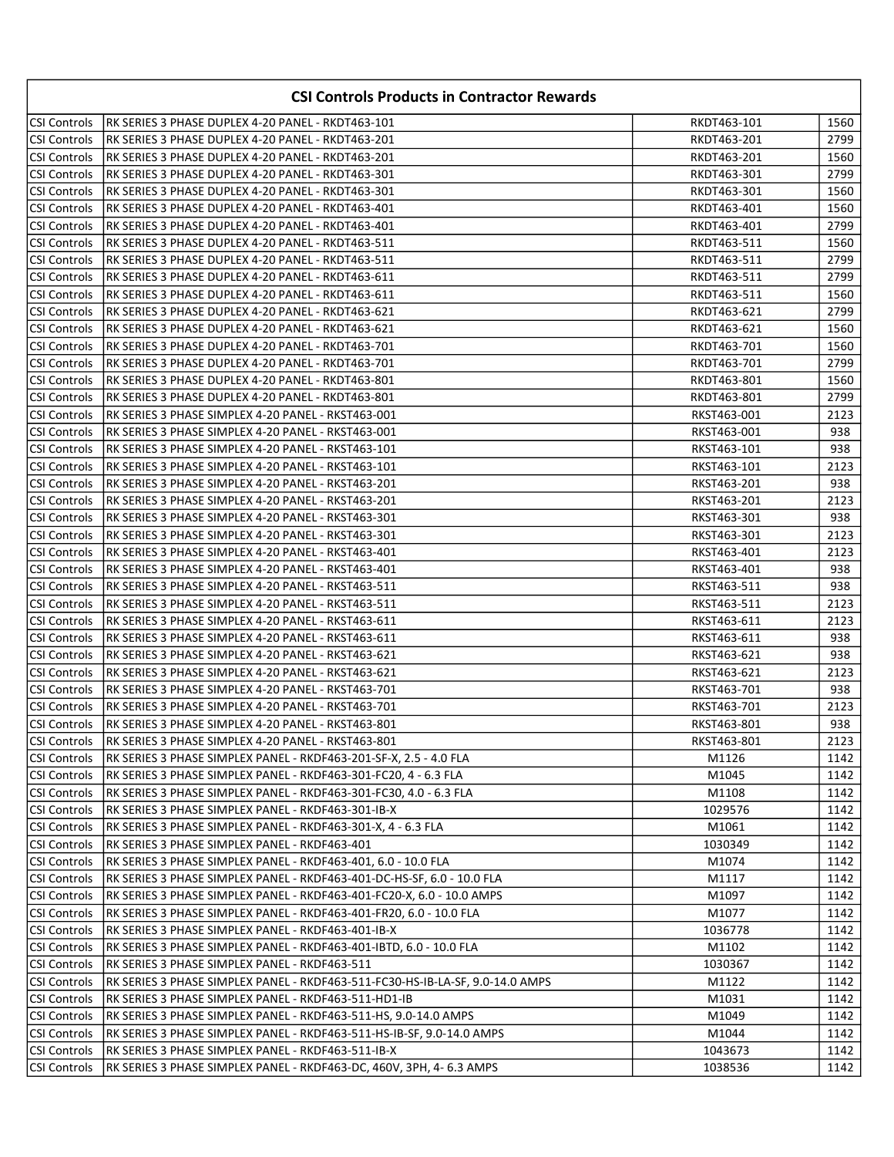| <b>CSI Controls Products in Contractor Rewards</b> |                                                                               |             |      |
|----------------------------------------------------|-------------------------------------------------------------------------------|-------------|------|
| <b>CSI Controls</b>                                | RK SERIES 3 PHASE DUPLEX 4-20 PANEL - RKDT463-101                             | RKDT463-101 | 1560 |
| <b>CSI Controls</b>                                | RK SERIES 3 PHASE DUPLEX 4-20 PANEL - RKDT463-201                             | RKDT463-201 | 2799 |
| CSI Controls                                       | RK SERIES 3 PHASE DUPLEX 4-20 PANEL - RKDT463-201                             | RKDT463-201 | 1560 |
| CSI Controls                                       | RK SERIES 3 PHASE DUPLEX 4-20 PANEL - RKDT463-301                             | RKDT463-301 | 2799 |
| CSI Controls                                       | RK SERIES 3 PHASE DUPLEX 4-20 PANEL - RKDT463-301                             | RKDT463-301 | 1560 |
| CSI Controls                                       | RK SERIES 3 PHASE DUPLEX 4-20 PANEL - RKDT463-401                             | RKDT463-401 | 1560 |
| <b>CSI Controls</b>                                | RK SERIES 3 PHASE DUPLEX 4-20 PANEL - RKDT463-401                             | RKDT463-401 | 2799 |
| CSI Controls                                       | IRK SERIES 3 PHASE DUPLEX 4-20 PANEL - RKDT463-511                            | RKDT463-511 | 1560 |
| <b>CSI Controls</b>                                | RK SERIES 3 PHASE DUPLEX 4-20 PANEL - RKDT463-511                             | RKDT463-511 | 2799 |
| CSI Controls                                       | RK SERIES 3 PHASE DUPLEX 4-20 PANEL - RKDT463-611                             | RKDT463-511 | 2799 |
| CSI Controls                                       | RK SERIES 3 PHASE DUPLEX 4-20 PANEL - RKDT463-611                             | RKDT463-511 | 1560 |
| CSI Controls                                       | RK SERIES 3 PHASE DUPLEX 4-20 PANEL - RKDT463-621                             | RKDT463-621 | 2799 |
| CSI Controls                                       | RK SERIES 3 PHASE DUPLEX 4-20 PANEL - RKDT463-621                             | RKDT463-621 | 1560 |
| CSI Controls                                       | IRK SERIES 3 PHASE DUPLEX 4-20 PANEL - RKDT463-701                            | RKDT463-701 | 1560 |
| CSI Controls                                       | RK SERIES 3 PHASE DUPLEX 4-20 PANEL - RKDT463-701                             | RKDT463-701 | 2799 |
| CSI Controls                                       | RK SERIES 3 PHASE DUPLEX 4-20 PANEL - RKDT463-801                             | RKDT463-801 | 1560 |
| CSI Controls                                       | RK SERIES 3 PHASE DUPLEX 4-20 PANEL - RKDT463-801                             | RKDT463-801 | 2799 |
| <b>CSI Controls</b>                                | RK SERIES 3 PHASE SIMPLEX 4-20 PANEL - RKST463-001                            | RKST463-001 | 2123 |
| <b>CSI Controls</b>                                | IRK SERIES 3 PHASE SIMPLEX 4-20 PANEL - RKST463-001                           | RKST463-001 | 938  |
| <b>CSI Controls</b>                                | RK SERIES 3 PHASE SIMPLEX 4-20 PANEL - RKST463-101                            | RKST463-101 | 938  |
| <b>CSI Controls</b>                                | IRK SERIES 3 PHASE SIMPLEX 4-20 PANEL - RKST463-101                           | RKST463-101 | 2123 |
| CSI Controls                                       | RK SERIES 3 PHASE SIMPLEX 4-20 PANEL - RKST463-201                            | RKST463-201 | 938  |
| CSI Controls                                       | RK SERIES 3 PHASE SIMPLEX 4-20 PANEL - RKST463-201                            | RKST463-201 | 2123 |
| CSI Controls                                       | RK SERIES 3 PHASE SIMPLEX 4-20 PANEL - RKST463-301                            | RKST463-301 | 938  |
| <b>CSI Controls</b>                                | RK SERIES 3 PHASE SIMPLEX 4-20 PANEL - RKST463-301                            | RKST463-301 | 2123 |
| <b>CSI Controls</b>                                | RK SERIES 3 PHASE SIMPLEX 4-20 PANEL - RKST463-401                            | RKST463-401 | 2123 |
| <b>CSI Controls</b>                                | IRK SERIES 3 PHASE SIMPLEX 4-20 PANEL - RKST463-401                           | RKST463-401 | 938  |
| CSI Controls                                       | RK SERIES 3 PHASE SIMPLEX 4-20 PANEL - RKST463-511                            | RKST463-511 | 938  |
| CSI Controls                                       | RK SERIES 3 PHASE SIMPLEX 4-20 PANEL - RKST463-511                            | RKST463-511 | 2123 |
| CSI Controls                                       | RK SERIES 3 PHASE SIMPLEX 4-20 PANEL - RKST463-611                            | RKST463-611 | 2123 |
| CSI Controls                                       | RK SERIES 3 PHASE SIMPLEX 4-20 PANEL - RKST463-611                            | RKST463-611 | 938  |
| CSI Controls                                       | RK SERIES 3 PHASE SIMPLEX 4-20 PANEL - RKST463-621                            | RKST463-621 | 938  |
| <b>CSI Controls</b>                                | RK SERIES 3 PHASE SIMPLEX 4-20 PANEL - RKST463-621                            | RKST463-621 | 2123 |
| <b>CSI Controls</b>                                | RK SERIES 3 PHASE SIMPLEX 4-20 PANEL - RKST463-701                            | RKST463-701 | 938  |
| CSI Controls                                       | IRK SERIES 3 PHASE SIMPLEX 4-20 PANEL - RKST463-701                           | RKST463-701 | 2123 |
| CSI Controls                                       | IRK SERIES 3 PHASE SIMPLEX 4-20 PANEL - RKST463-801                           | RKST463-801 | 938  |
| CSI Controls                                       | RK SERIES 3 PHASE SIMPLEX 4-20 PANEL - RKST463-801                            | RKST463-801 | 2123 |
| CSI Controls                                       | RK SERIES 3 PHASE SIMPLEX PANEL - RKDF463-201-SF-X, 2.5 - 4.0 FLA             | M1126       | 1142 |
| CSI Controls                                       | RK SERIES 3 PHASE SIMPLEX PANEL - RKDF463-301-FC20, 4 - 6.3 FLA               | M1045       | 1142 |
| CSI Controls                                       | RK SERIES 3 PHASE SIMPLEX PANEL - RKDF463-301-FC30, 4.0 - 6.3 FLA             | M1108       | 1142 |
| CSI Controls                                       | RK SERIES 3 PHASE SIMPLEX PANEL - RKDF463-301-IB-X                            | 1029576     | 1142 |
| <b>CSI Controls</b>                                | RK SERIES 3 PHASE SIMPLEX PANEL - RKDF463-301-X, 4 - 6.3 FLA                  | M1061       | 1142 |
| <b>CSI Controls</b>                                | RK SERIES 3 PHASE SIMPLEX PANEL - RKDF463-401                                 | 1030349     | 1142 |
| <b>CSI Controls</b>                                | RK SERIES 3 PHASE SIMPLEX PANEL - RKDF463-401, 6.0 - 10.0 FLA                 | M1074       | 1142 |
| <b>CSI Controls</b>                                | RK SERIES 3 PHASE SIMPLEX PANEL - RKDF463-401-DC-HS-SF, 6.0 - 10.0 FLA        | M1117       | 1142 |
| CSI Controls                                       | RK SERIES 3 PHASE SIMPLEX PANEL - RKDF463-401-FC20-X, 6.0 - 10.0 AMPS         | M1097       | 1142 |
| CSI Controls                                       | RK SERIES 3 PHASE SIMPLEX PANEL - RKDF463-401-FR20, 6.0 - 10.0 FLA            | M1077       | 1142 |
| CSI Controls                                       | RK SERIES 3 PHASE SIMPLEX PANEL - RKDF463-401-IB-X                            | 1036778     | 1142 |
| CSI Controls                                       | RK SERIES 3 PHASE SIMPLEX PANEL - RKDF463-401-IBTD, 6.0 - 10.0 FLA            | M1102       | 1142 |
| <b>CSI Controls</b>                                | RK SERIES 3 PHASE SIMPLEX PANEL - RKDF463-511                                 | 1030367     | 1142 |
| CSI Controls                                       | RK SERIES 3 PHASE SIMPLEX PANEL - RKDF463-511-FC30-HS-IB-LA-SF, 9.0-14.0 AMPS | M1122       | 1142 |
| CSI Controls                                       | RK SERIES 3 PHASE SIMPLEX PANEL - RKDF463-511-HD1-IB                          | M1031       | 1142 |
| CSI Controls                                       | RK SERIES 3 PHASE SIMPLEX PANEL - RKDF463-511-HS, 9.0-14.0 AMPS               | M1049       | 1142 |
| <b>CSI Controls</b>                                | RK SERIES 3 PHASE SIMPLEX PANEL - RKDF463-511-HS-IB-SF, 9.0-14.0 AMPS         | M1044       | 1142 |
| CSI Controls                                       | RK SERIES 3 PHASE SIMPLEX PANEL - RKDF463-511-IB-X                            | 1043673     | 1142 |
| CSI Controls                                       | RK SERIES 3 PHASE SIMPLEX PANEL - RKDF463-DC, 460V, 3PH, 4- 6.3 AMPS          | 1038536     | 1142 |